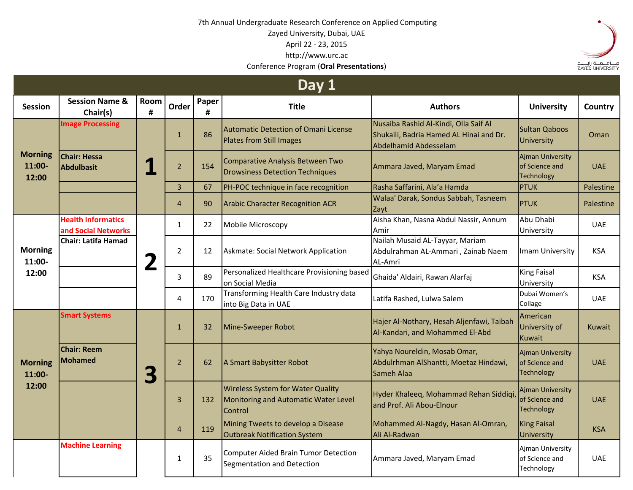## 7th Annual Undergraduate Research Conference on Applied Computing Zayed University, Dubai, UAE April 22 - 23, 2015 http://www.urc.ac Conference Program (**Oral Presentations**)



| Day 1                             |                                                  |                          |                |            |                                                                                             |                                                                                                           |                                                                |            |
|-----------------------------------|--------------------------------------------------|--------------------------|----------------|------------|---------------------------------------------------------------------------------------------|-----------------------------------------------------------------------------------------------------------|----------------------------------------------------------------|------------|
| <b>Session</b>                    | <b>Session Name &amp;</b><br>Chair(s)            | Room<br>#                | Order          | Paper<br># | <b>Title</b>                                                                                | <b>Authors</b>                                                                                            | <b>University</b>                                              | Country    |
| <b>Morning</b><br>11:00-<br>12:00 | <b>Image Processing</b>                          | $\overline{\phantom{a}}$ | $\mathbf{1}$   | 86         | <b>Automatic Detection of Omani License</b><br>Plates from Still Images                     | Nusaiba Rashid Al-Kindi, Olla Saif Al<br>Shukaili, Badria Hamed AL Hinai and Dr.<br>Abdelhamid Abdesselam | <b>Sultan Qaboos</b><br>University                             | Oman       |
|                                   | <b>Chair: Hessa</b><br>Abdulbasit                |                          | $\overline{2}$ | 154        | Comparative Analysis Between Two<br><b>Drowsiness Detection Techniques</b>                  | Ammara Javed, Maryam Emad                                                                                 | <b>Ajman University</b><br>of Science and<br><b>Technology</b> | <b>UAE</b> |
|                                   |                                                  |                          | $\overline{3}$ | 67         | PH-POC technique in face recognition                                                        | Rasha Saffarini, Ala'a Hamda                                                                              | <b>PTUK</b>                                                    | Palestine  |
|                                   |                                                  |                          | $\overline{4}$ | 90         | <b>Arabic Character Recognition ACR</b>                                                     | Walaa' Darak, Sondus Sabbah, Tasneem<br>Zayt                                                              | <b>PTUK</b>                                                    | Palestine  |
| <b>Morning</b><br>11:00-<br>12:00 | <b>Health Informatics</b><br>and Social Networks | 2                        | $\mathbf{1}$   | 22         | Mobile Microscopy                                                                           | Aisha Khan, Nasna Abdul Nassir, Annum<br>Amir                                                             | Abu Dhabi<br>University                                        | <b>UAE</b> |
|                                   | <b>Chair: Latifa Hamad</b>                       |                          | $\overline{2}$ | 12         | Askmate: Social Network Application                                                         | Nailah Musaid AL-Tayyar, Mariam<br>Abdulrahman AL-Ammari, Zainab Naem<br>AL-Amri                          | Imam University                                                | <b>KSA</b> |
|                                   |                                                  |                          | 3              | 89         | Personalized Healthcare Provisioning based<br>on Social Media                               | Ghaida' Aldairi, Rawan Alarfaj                                                                            | <b>King Faisal</b><br>University                               | <b>KSA</b> |
|                                   |                                                  |                          | 4              | 170        | Transforming Health Care Industry data<br>into Big Data in UAE                              | Latifa Rashed, Lulwa Salem                                                                                | Dubai Women's<br>Collage                                       | <b>UAE</b> |
| <b>Morning</b><br>11:00-<br>12:00 | <b>Smart Systems</b>                             | 3                        | $\mathbf{1}$   | 32         | Mine-Sweeper Robot                                                                          | Hajer Al-Nothary, Hesah Aljenfawi, Taibah<br>Al-Kandari, and Mohammed El-Abd                              | American<br>University of<br>Kuwait                            | Kuwait     |
|                                   | <b>Chair: Reem</b><br><b>Mohamed</b>             |                          | $\overline{2}$ | 62         | A Smart Babysitter Robot                                                                    | Yahya Noureldin, Mosab Omar,<br>Abdulrhman AlShantti, Moetaz Hindawi,<br>Sameh Alaa                       | Ajman University<br>of Science and<br>Technology               | <b>UAE</b> |
|                                   |                                                  |                          | $\overline{3}$ | 132        | <b>Wireless System for Water Quality</b><br>Monitoring and Automatic Water Level<br>Control | Hyder Khaleeq, Mohammad Rehan Siddiqi,<br>and Prof. Ali Abou-Elnour                                       | <b>Ajman University</b><br>of Science and<br><b>Technology</b> | <b>UAE</b> |
|                                   |                                                  |                          | $\overline{4}$ | 119        | Mining Tweets to develop a Disease<br><b>Outbreak Notification System</b>                   | Mohammed Al-Nagdy, Hasan Al-Omran,<br>Ali Al-Radwan                                                       | <b>King Faisal</b><br>University                               | <b>KSA</b> |
|                                   | <b>Machine Learning</b>                          |                          | 1              | 35         | <b>Computer Aided Brain Tumor Detection</b><br>Segmentation and Detection                   | Ammara Javed, Maryam Emad                                                                                 | Ajman University<br>of Science and<br>Technology               | <b>UAE</b> |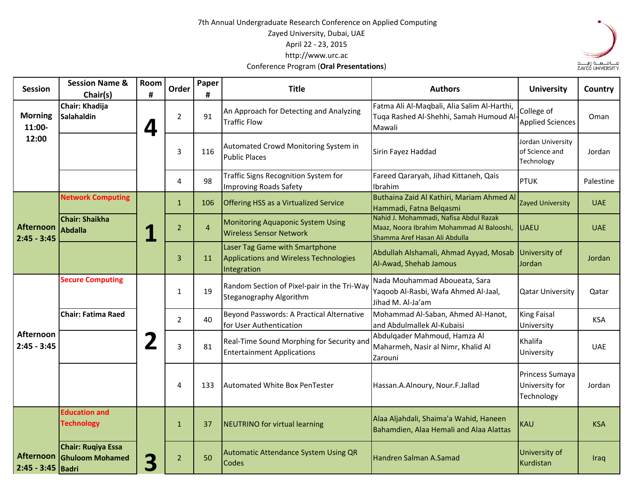## 7th Annual Undergraduate Research Conference on Applied Computing Zayed University, Dubai, UAE April 22 - 23, 2015 http://www.urc.ac Conference Program (**Oral Presentations**)



| <b>Session</b>                        | <b>Session Name &amp;</b><br>Chair(s)        | Room<br># | Order          | Paper<br>#     | <b>Title</b>                                                                            | <b>Authors</b>                                                                                                       | <b>University</b>                                 | Country    |
|---------------------------------------|----------------------------------------------|-----------|----------------|----------------|-----------------------------------------------------------------------------------------|----------------------------------------------------------------------------------------------------------------------|---------------------------------------------------|------------|
| <b>Morning</b><br>11:00-              | Chair: Khadija<br><b>Salahaldin</b>          | 4         | $\overline{2}$ | 91             | An Approach for Detecting and Analyzing<br><b>Traffic Flow</b>                          | Fatma Ali Al-Maqbali, Alia Salim Al-Harthi,<br>Tuqa Rashed Al-Shehhi, Samah Humoud Al<br>Mawali                      | College of<br><b>Applied Sciences</b>             | Oman       |
| 12:00                                 |                                              |           | 3              | 116            | Automated Crowd Monitoring System in<br><b>Public Places</b>                            | Sirin Fayez Haddad                                                                                                   | Jordan University<br>of Science and<br>Technology | Jordan     |
|                                       |                                              |           | 4              | 98             | Traffic Signs Recognition System for<br><b>Improving Roads Safety</b>                   | Fareed Qararyah, Jihad Kittaneh, Qais<br>Ibrahim                                                                     | <b>PTUK</b>                                       | Palestine  |
| <b>Afternoon</b><br>$2:45 - 3:45$     | <b>Network Computing</b>                     | 1         | $\mathbf{1}$   | 106            | <b>Offering HSS as a Virtualized Service</b>                                            | Buthaina Zaid Al Kathiri, Mariam Ahmed Al<br>Hammadi, Fatna Belgasmi                                                 | Zayed University                                  | <b>UAE</b> |
|                                       | <b>Chair: Shaikha</b><br><b>Abdalla</b>      |           | $\overline{2}$ | $\overline{4}$ | <b>Monitoring Aquaponic System Using</b><br><b>Wireless Sensor Network</b>              | Nahid J. Mohammadi, Nafisa Abdul Razak<br>Maaz, Noora Ibrahim Mohammad Al Balooshi,<br>Shamma Aref Hasan Ali Abdulla | <b>UAEU</b>                                       | <b>UAE</b> |
|                                       |                                              |           | 3              | 11             | Laser Tag Game with Smartphone<br>Applications and Wireless Technologies<br>Integration | Abdullah Alshamali, Ahmad Ayyad, Mosab<br>Al-Awad, Shehab Jamous                                                     | University of<br>Jordan                           | Jordan     |
| Afternoon<br>$2:45 - 3:45$            | <b>Secure Computing</b>                      | 2         | 1              | 19             | Random Section of Pixel-pair in the Tri-Way<br>Steganography Algorithm                  | Nada Mouhammad Aboueata, Sara<br>Yaqoob Al-Rasbi, Wafa Ahmed Al-Jaal,<br>Jihad M. Al-Ja'am                           | <b>Qatar University</b>                           | Qatar      |
|                                       | <b>Chair: Fatima Raed</b>                    |           | $\overline{2}$ | 40             | Beyond Passwords: A Practical Alternative<br>for User Authentication                    | Mohammad Al-Saban, Ahmed Al-Hanot,<br>and Abdulmallek Al-Kubaisi                                                     | <b>King Faisal</b><br>University                  | <b>KSA</b> |
|                                       |                                              |           | 3              | 81             | Real-Time Sound Morphing for Security and<br><b>Entertainment Applications</b>          | Abdulgader Mahmoud, Hamza Al<br>Maharmeh, Nasir al Nimr, Khalid Al<br>Zarouni                                        | Khalifa<br>University                             | <b>UAE</b> |
|                                       |                                              |           | 4              | 133            | Automated White Box PenTester                                                           | Hassan.A.Alnoury, Nour.F.Jallad                                                                                      | Princess Sumaya<br>University for<br>Technology   | Jordan     |
|                                       | <b>Education and</b><br><b>Technology</b>    |           | $\mathbf{1}$   | 37             | NEUTRINO for virtual learning                                                           | Alaa Aljahdali, Shaima'a Wahid, Haneen<br>Bahamdien, Alaa Hemali and Alaa Alattas                                    | <b>KAU</b>                                        | <b>KSA</b> |
| <b>Afternoon</b><br>2:45 - 3:45 Badri | Chair: Ruqiya Essa<br><b>Ghuloom Mohamed</b> | 3         | $\overline{2}$ | 50             | Automatic Attendance System Using QR<br><b>Codes</b>                                    | Handren Salman A.Samad                                                                                               | University of<br>Kurdistan                        | Iraq       |